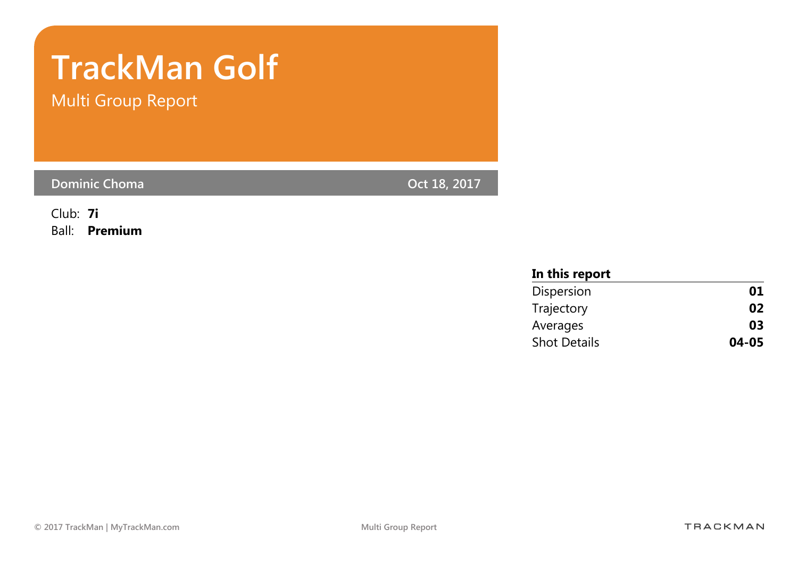# TrackMan Golf

Multi Group Report

Dominic Choma **Oct 18, 2017** 

Club: 7i Ball: Premium

| In this report      |           |
|---------------------|-----------|
| Dispersion          | 01        |
| Trajectory          | 02        |
| Averages            | 03        |
| <b>Shot Details</b> | $04 - 05$ |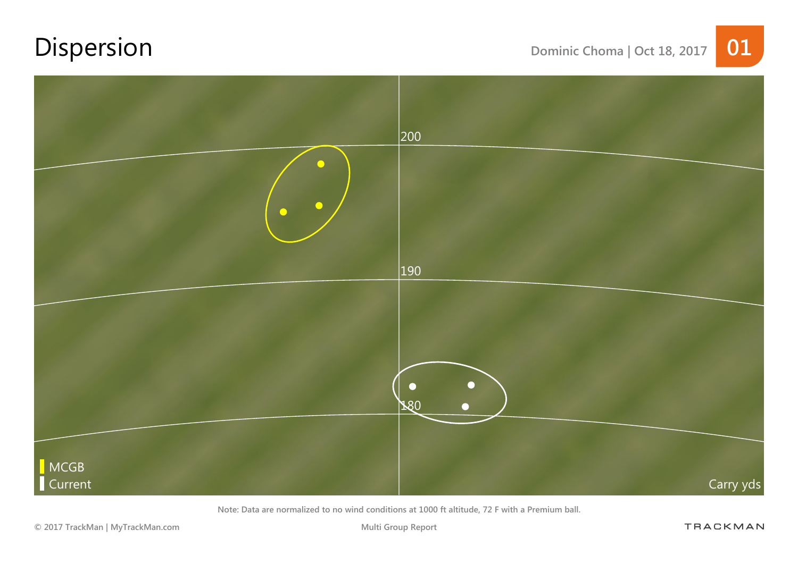# Dispersion Dominic Choma | Oct 18, 2017 01



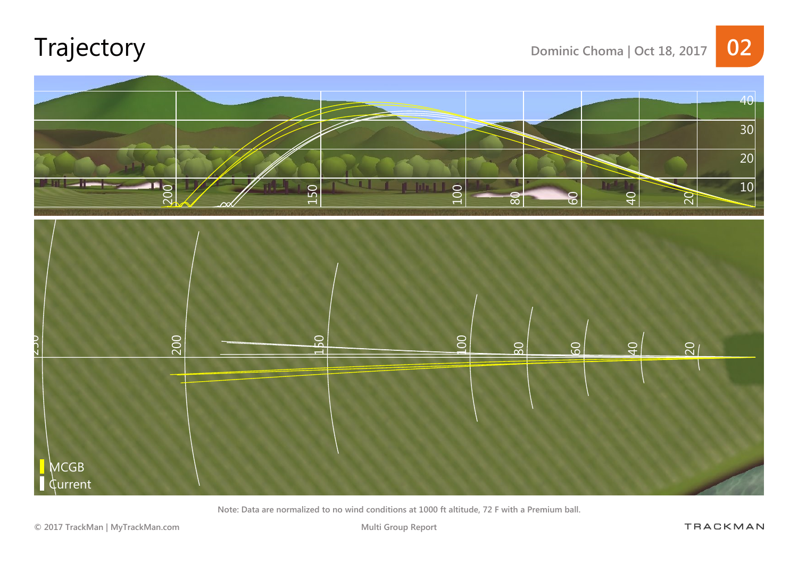# Trajectory Dominic Choma | Oct 18, 2017 02



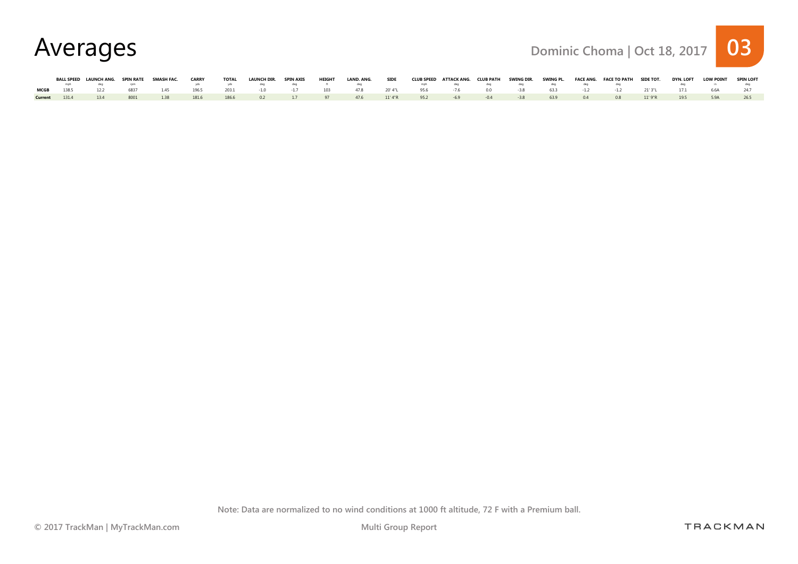

|      |              | BALL SPEED LAUNCH ANG.                                                                                                                                                                                                         |      | SPIN RATE SMASH FAC. | <b>CARRY</b>     | <b>TOTAL</b> | <b>LAUNCH DIR.</b>  | <b>SPIN AXIS</b> | <b>HEIGHT</b> | LAND, ANG.                          | <b>SIDE</b> | CLUB SPEED ATTACK ANG. CLUB PATH SWING DIR. |             |     |     | SWING PL. FACE ANG. FACE TO PATH SIDE TOT. |       | <b>DYN. LOFT</b> | <b>LOW POINT</b> | <b>SPIN LOFT</b> |
|------|--------------|--------------------------------------------------------------------------------------------------------------------------------------------------------------------------------------------------------------------------------|------|----------------------|------------------|--------------|---------------------|------------------|---------------|-------------------------------------|-------------|---------------------------------------------|-------------|-----|-----|--------------------------------------------|-------|------------------|------------------|------------------|
|      |              | deal community and community and community and community and community and community and community and community and community and community and community and community and community and community and community and communi |      |                      |                  |              | yds yds deg         |                  |               |                                     |             |                                             |             |     |     | deq deq deq deq                            |       |                  |                  |                  |
| MCGB |              | 122                                                                                                                                                                                                                            | 6837 |                      | 1.45 196.5 203.1 |              | $-1.0$ $-1.7$ $103$ |                  |               | 47.8 20'4"L 95.6 -7.6 0.0 -3.8 63.3 |             |                                             |             |     |     | $-1.2$ $-1.2$                              | 21'3" | 171              | 6.6A             |                  |
|      | Current 1314 | 134                                                                                                                                                                                                                            | 8001 | 138                  | 1816             | 186.6        |                     |                  |               | 0.2 1.7 97 47.6 11'4"R 95.2         |             | $-69$                                       | $-04$ $-38$ | 639 | 0.4 | 0.8 11'9"R                                 |       | 195              |                  |                  |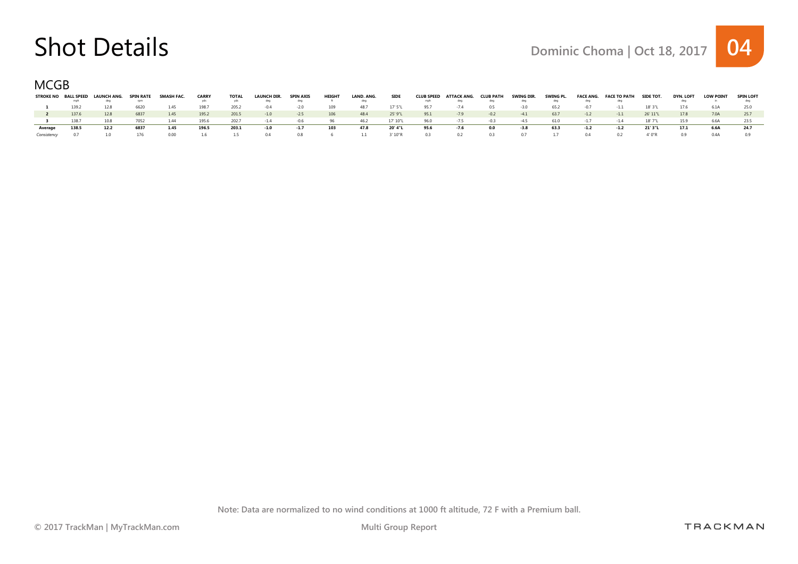### Shot Details Details Dominic Choma | Oct 18, 2017 04

MCGB

| <b>STROKE NO</b> | <b>BALL SPEED</b> | LAUNCH ANG. | <b>SPIN RATE</b> | SMASH FAC. | <b>CARRY</b> | <b>TOTAL</b><br>yds | <b>LAUNCH DIR.</b><br>deg | <b>SPIN AXIS</b><br>deq | <b>HEIGHT</b> | LAND, ANG. | <b>SIDE</b> | <b>CLUB SPEED</b><br>mph | ATTACK ANG. | <b>CLUB PATH</b><br>deg | SWING DIR.<br>deg | SWING PL. | <b>FACE ANG.</b><br>deg | <b>FACE TO PATH</b> | <b>SIDE TOT.</b> | <b>DYN. LOFT</b> | <b>LOW POINT</b> | <b>SPIN LOFT</b> |
|------------------|-------------------|-------------|------------------|------------|--------------|---------------------|---------------------------|-------------------------|---------------|------------|-------------|--------------------------|-------------|-------------------------|-------------------|-----------|-------------------------|---------------------|------------------|------------------|------------------|------------------|
|                  | 139.2             | 12.8        | 6620             | 1.45       | 198.7        | 205.2               | $-0.4$                    | $-2.0$                  | 109           | 48.7       | 17' 5"L     | 95.7                     |             | 0.5                     | $-3.0$            | 65.2      | $-0.7$                  | $-1.1$              | 18' 3"L          | 17.6             | 6.1A             |                  |
|                  | 137.6             | 12.8        | 6837             | 1.45       | 195.2        | 201.5               | $-1.0$                    | $-2.5$                  | 106           | 48.4       | 25' 9"L     | 95.1                     | $-7.9$      | $-0.2$                  | $-4.1$            | 63.7      | $-1.2$                  | $-1.1$              | 26' 11"L         | 17.8             | 7.0A             |                  |
|                  | 138.7             |             |                  | 144        | 195.6        | 202.7               | $-1.4$                    | $-06$                   | 96.           | 462        | 17' 10"     | 96.0                     | $-75$       | $-03$                   | $-45$             | 61.0      | $-1.7$                  | $-14$               | 18' 7"           | 159              | 6.6A             |                  |
| Average          | 138.5             | 12.2        | 6837             | 1.45       | 196.5        | 203.1               | $-1.0$                    | $-1.7$                  | 103           | 47.8       | 20' 4"L     | 95.6                     | $-7.6$      | 0.0                     | $-3.8$            | 63.3      | $-1.2$                  | $-1.2$              | 21' 3"L          | 17.1             | 6.6A             | 24.7             |
|                  |                   |             |                  | n nn       |              | 1.5                 | 04                        | 0.8                     |               |            | 3' 10"R     | 0.3                      |             |                         |                   |           |                         |                     | 4' 0"R           |                  | 0.4A             |                  |